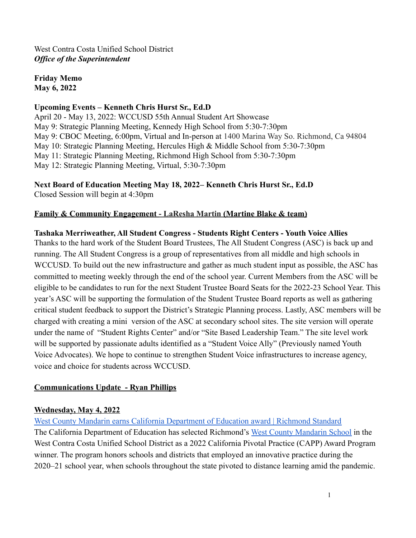West Contra Costa Unified School District *Office of the Superintendent*

**Friday Memo May 6, 2022**

#### **Upcoming Events – Kenneth Chris Hurst Sr., Ed.D**

April 20 - May 13, 2022: WCCUSD 55th Annual Student Art Showcase May 9: Strategic Planning Meeting, Kennedy High School from 5:30-7:30pm May 9: CBOC Meeting, 6:00pm, Virtual and In-person at 1400 Marina Way So. Richmond, Ca 94804 May 10: Strategic Planning Meeting, Hercules High & Middle School from 5:30-7:30pm May 11: Strategic Planning Meeting, Richmond High School from 5:30-7:30pm May 12: Strategic Planning Meeting, Virtual, 5:30-7:30pm

# **Next Board of Education Meeting May 18, 2022– Kenneth Chris Hurst Sr., Ed.D**

Closed Session will begin at 4:30pm

### **Family & Community Engagement - LaResha Martin (Martine Blake & team)**

#### **Tashaka Merriweather, All Student Congress - Students Right Centers - Youth Voice Allies**

Thanks to the hard work of the Student Board Trustees, The All Student Congress (ASC) is back up and running. The All Student Congress is a group of representatives from all middle and high schools in WCCUSD. To build out the new infrastructure and gather as much student input as possible, the ASC has committed to meeting weekly through the end of the school year. Current Members from the ASC will be eligible to be candidates to run for the next Student Trustee Board Seats for the 2022-23 School Year. This year's ASC will be supporting the formulation of the Student Trustee Board reports as well as gathering critical student feedback to support the District's Strategic Planning process. Lastly, ASC members will be charged with creating a mini version of the ASC at secondary school sites. The site version will operate under the name of "Student Rights Center" and/or "Site Based Leadership Team." The site level work will be supported by passionate adults identified as a "Student Voice Ally" (Previously named Youth Voice Advocates). We hope to continue to strengthen Student Voice infrastructures to increase agency, voice and choice for students across WCCUSD.

## **Communications Update - Ryan Phillips**

#### **Wednesday, May 4, 2022**

[West County Mandarin earns California Department of Education award | Richmond Standard](https://richmondstandard.com/richmond/2022/05/04/west-county-mandarin-earns-california-department-of-education-award/) The California Department of Education has selected Richmond's [West County Mandarin School](https://www.wccusd.net/westcountymandarin) in the West Contra Costa Unified School District as a 2022 California Pivotal Practice (CAPP) Award Program winner. The program honors schools and districts that employed an innovative practice during the 2020–21 school year, when schools throughout the state pivoted to distance learning amid the pandemic.